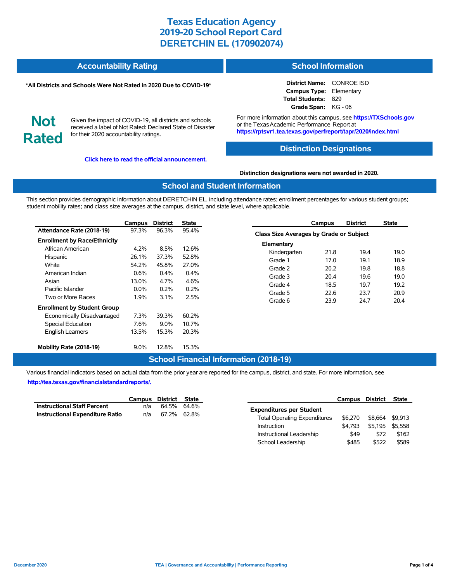| <b>Accountability Rating</b> | <b>School Information</b> |
|------------------------------|---------------------------|
|                              |                           |

#### **\*All Districts and Schools Were Not Rated in 2020 Due to COVID-19\***

**District Name:** CONROE ISD **Campus Type:** Elementary **Total Students:** 829 **Grade Span:** KG - 06

**Not Rated**

Given the impact of COVID-19, all districts and schools received a label of Not Rated: Declared State of Disaster for their 2020 accountability ratings.

**[Click here to read the official announcement.](https://tea.texas.gov/about-tea/news-and-multimedia/correspondence/taa-letters/every-student-succeeds-act-essa-waiver-approval-2020-state-academic-accountability)**

For more information about this campus, see **https://TXSchools.gov** or the Texas Academic Performance Report at **https://rptsvr1.tea.texas.gov/perfreport/tapr/2020/index.html**

### **Distinction Designations**

**Distinction designations were not awarded in 2020.**

#### **School and Student Information**

This section provides demographic information about DERETCHIN EL, including attendance rates; enrollment percentages for various student groups; student mobility rates; and class size averages at the campus, district, and state level, where applicable.

|                                     | Campus  | <b>District</b> | <b>State</b> |
|-------------------------------------|---------|-----------------|--------------|
| Attendance Rate (2018-19)           | 97.3%   | 96.3%           | 95.4%        |
| <b>Enrollment by Race/Ethnicity</b> |         |                 |              |
| African American                    | 4.2%    | 8.5%            | 12.6%        |
| Hispanic                            | 26.1%   | 37.3%           | 52.8%        |
| White                               | 54.2%   | 45.8%           | 27.0%        |
| American Indian                     | 0.6%    | $0.4\%$         | 0.4%         |
| Asian                               | 13.0%   | 4.7%            | 4.6%         |
| Pacific Islander                    | $0.0\%$ | 0.2%            | 0.2%         |
| Two or More Races                   | 1.9%    | 3.1%            | 2.5%         |
| <b>Enrollment by Student Group</b>  |         |                 |              |
| Economically Disadvantaged          | 7.3%    | 39.3%           | 60.2%        |
| Special Education                   | 7.6%    | 9.0%            | 10.7%        |
| <b>English Learners</b>             | 13.5%   | 15.3%           | 20.3%        |
| Mobility Rate (2018-19)             | $9.0\%$ | 12.8%           | 15.3%        |

| Campus                                         | <b>District</b> | <b>State</b> |  |  |  |  |  |  |  |  |
|------------------------------------------------|-----------------|--------------|--|--|--|--|--|--|--|--|
| <b>Class Size Averages by Grade or Subject</b> |                 |              |  |  |  |  |  |  |  |  |
| Elementary                                     |                 |              |  |  |  |  |  |  |  |  |
| 21.8                                           | 19.4            | 19.0         |  |  |  |  |  |  |  |  |
| 17.0                                           | 19.1            | 18.9         |  |  |  |  |  |  |  |  |
| 20.2                                           | 19.8            | 18.8         |  |  |  |  |  |  |  |  |
| 20.4                                           | 19.6            | 19.0         |  |  |  |  |  |  |  |  |
| 18.5                                           | 19.7            | 19.2         |  |  |  |  |  |  |  |  |
| 22.6                                           | 23.7            | 20.9         |  |  |  |  |  |  |  |  |
| 23.9                                           | 24.7            | 20.4         |  |  |  |  |  |  |  |  |
|                                                |                 |              |  |  |  |  |  |  |  |  |

### **School Financial Information (2018-19)**

Various financial indicators based on actual data from the prior year are reported for the campus, district, and state. For more information, see **[http://tea.texas.gov/financialstandardreports/.](http://tea.texas.gov/financialstandardreports/)**

|                                        | Campus District State |             |  |
|----------------------------------------|-----------------------|-------------|--|
| <b>Instructional Staff Percent</b>     | n/a                   | 64.5% 64.6% |  |
| <b>Instructional Expenditure Ratio</b> | n/a                   | 67.2% 62.8% |  |

|                                     | Campus District |         | <b>State</b> |
|-------------------------------------|-----------------|---------|--------------|
| <b>Expenditures per Student</b>     |                 |         |              |
| <b>Total Operating Expenditures</b> | \$6,270         | \$8.664 | \$9.913      |
| Instruction                         | \$4.793         | \$5.195 | \$5.558      |
| Instructional Leadership            | \$49            | \$72    | \$162        |
| School Leadership                   | \$485           | \$522   | \$589        |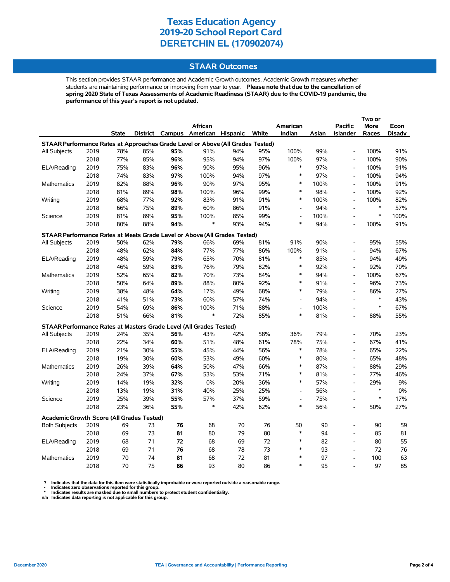#### **STAAR Outcomes**

This section provides STAAR performance and Academic Growth outcomes. Academic Growth measures whether students are maintaining performance or improving from year to year. **Please note that due to the cancellation of spring 2020 State of Texas Assessments of Academic Readiness (STAAR) due to the COVID-19 pandemic, the performance of this year's report is not updated.**

|                                                                                |              |              |          |     |                                   |          |          |                              |          |                              | Two or      |          |
|--------------------------------------------------------------------------------|--------------|--------------|----------|-----|-----------------------------------|----------|----------|------------------------------|----------|------------------------------|-------------|----------|
|                                                                                |              |              |          |     | African                           |          |          | American                     |          | <b>Pacific</b>               | <b>More</b> | Econ     |
|                                                                                |              | <b>State</b> |          |     | District Campus American Hispanic |          | White    | Indian                       | Asian    | <b>Islander</b>              | Races       | Disadv   |
| STAAR Performance Rates at Approaches Grade Level or Above (All Grades Tested) |              |              |          |     |                                   |          |          |                              |          |                              |             |          |
| All Subjects                                                                   | 2019         | 78%          | 85%      | 95% | 91%                               | 94%      | 95%      | 100%                         | 99%      | $\frac{1}{2}$                | 100%        | 91%      |
|                                                                                | 2018         | 77%          | 85%      | 96% | 95%                               | 94%      | 97%      | 100%                         | 97%      | $\qquad \qquad \blacksquare$ | 100%        | 90%      |
| ELA/Reading                                                                    | 2019         | 75%          | 83%      | 96% | 90%                               | 95%      | 96%      | $\ast$                       | 97%      | $\overline{\phantom{a}}$     | 100%        | 91%      |
|                                                                                | 2018         | 74%          | 83%      | 97% | 100%                              | 94%      | 97%      | $\ast$                       | 97%      | $\overline{\phantom{a}}$     | 100%        | 94%      |
| Mathematics                                                                    | 2019         | 82%          | 88%      | 96% | 90%                               | 97%      | 95%      | $\ast$                       | 100%     | $\qquad \qquad \blacksquare$ | 100%        | 91%      |
|                                                                                | 2018         | 81%          | 89%      | 98% | 100%                              | 96%      | 99%      | $\ast$                       | 98%      | $\frac{1}{2}$                | 100%        | 92%      |
| Writing                                                                        | 2019         | 68%          | 77%      | 92% | 83%                               | 91%      | 91%      | $\ast$                       | 100%     | $\overline{a}$               | 100%        | 82%      |
|                                                                                | 2018         | 66%          | 75%      | 89% | 60%                               | 86%      | 91%      | $\overline{a}$               | 94%      | $\overline{a}$               | $\ast$      | 57%      |
| Science                                                                        | 2019         | 81%          | 89%      | 95% | 100%                              | 85%      | 99%      | $\qquad \qquad \blacksquare$ | 100%     | $\qquad \qquad \blacksquare$ | $\ast$      | 100%     |
|                                                                                | 2018         | 80%          | 88%      | 94% | $\ast$                            | 93%      | 94%      | $\ast$                       | 94%      | $\overline{a}$               | 100%        | 91%      |
| STAAR Performance Rates at Meets Grade Level or Above (All Grades Tested)      |              |              |          |     |                                   |          |          |                              |          |                              |             |          |
| All Subjects                                                                   | 2019         | 50%          | 62%      | 79% | 66%                               | 69%      | 81%      | 91%                          | 90%      | $\overline{a}$               | 95%         | 55%      |
|                                                                                | 2018         | 48%          | 62%      | 84% | 77%                               | 77%      | 86%      | 100%                         | 91%      | $\overline{a}$               | 94%         | 67%      |
| ELA/Reading                                                                    | 2019         | 48%          | 59%      | 79% | 65%                               | 70%      | 81%      | $\ast$                       | 85%      | $\frac{1}{2}$                | 94%         | 49%      |
|                                                                                | 2018         | 46%          | 59%      | 83% | 76%                               | 79%      | 82%      | $\ast$                       | 92%      | L,                           | 92%         | 70%      |
| Mathematics                                                                    | 2019         | 52%          | 65%      | 82% | 70%                               | 73%      | 84%      | $\ast$                       | 94%      | L,                           | 100%        | 67%      |
|                                                                                | 2018         | 50%          | 64%      | 89% | 88%                               | 80%      | 92%      | $\ast$                       | 91%      | $\overline{\phantom{a}}$     | 96%         | 73%      |
| Writing                                                                        | 2019         | 38%          | 48%      | 64% | 17%                               | 49%      | 68%      | $\ast$                       | 79%      | $\frac{1}{2}$                | 86%         | 27%      |
|                                                                                | 2018         | 41%          | 51%      | 73% | 60%                               | 57%      | 74%      | $\overline{\phantom{a}}$     | 94%      | $\overline{a}$               | $\ast$      | 43%      |
| Science                                                                        | 2019         | 54%          | 69%      | 86% | 100%                              | 71%      | 88%      | $\overline{a}$               | 100%     | $\overline{a}$               | $\ast$      | 67%      |
|                                                                                | 2018         | 51%          | 66%      | 81% | $\ast$                            | 72%      | 85%      | $\ast$                       | 81%      | $\overline{a}$               | 88%         | 55%      |
| STAAR Performance Rates at Masters Grade Level (All Grades Tested)             |              |              |          |     |                                   |          |          |                              |          |                              |             |          |
| <b>All Subjects</b>                                                            | 2019         | 24%          | 35%      | 56% | 43%                               | 42%      | 58%      | 36%                          | 79%      | $\qquad \qquad \blacksquare$ | 70%         | 23%      |
|                                                                                | 2018         | 22%          | 34%      | 60% | 51%                               | 48%      | 61%      | 78%                          | 75%      | $\overline{\phantom{a}}$     | 67%         | 41%      |
| ELA/Reading                                                                    | 2019         | 21%          | 30%      | 55% | 45%                               | 44%      | 56%      | $\ast$                       | 78%      | $\frac{1}{2}$                | 65%         | 22%      |
|                                                                                | 2018         | 19%          | 30%      | 60% | 53%                               | 49%      | 60%      | $\ast$                       | 80%      | $\qquad \qquad \blacksquare$ | 65%         | 48%      |
| Mathematics                                                                    | 2019         | 26%          | 39%      | 64% | 50%                               | 47%      | 66%      | $\ast$                       | 87%      | $\overline{a}$               | 88%         | 29%      |
|                                                                                | 2018         | 24%          | 37%      | 67% | 53%                               | 53%      | 71%      | $\ast$                       | 81%      | L,                           | 77%         | 46%      |
| Writing                                                                        | 2019         | 14%          | 19%      | 32% | 0%                                | 20%      | 36%      | $\ast$                       | 57%      | $\qquad \qquad \blacksquare$ | 29%         | 9%       |
|                                                                                | 2018         | 13%          | 19%      | 31% | 40%                               | 25%      | 25%      | $\overline{\phantom{a}}$     | 56%      | $\overline{\phantom{0}}$     | $\ast$      | $0\%$    |
| Science                                                                        | 2019         | 25%          | 39%      | 55% | 57%                               | 37%      | 59%      | $\overline{\phantom{a}}$     | 75%      | $\overline{a}$               | $\ast$      | 17%      |
|                                                                                | 2018         | 23%          | 36%      | 55% | $\ast$                            | 42%      | 62%      | $\ast$                       | 56%      | $\overline{a}$               | 50%         | 27%      |
|                                                                                |              |              |          |     |                                   |          |          |                              |          |                              |             |          |
| <b>Academic Growth Score (All Grades Tested)</b>                               |              |              |          |     |                                   |          |          |                              |          |                              |             |          |
| <b>Both Subjects</b>                                                           | 2019         | 69           | 73       | 76  | 68                                | 70       | 76       | 50<br>$\ast$                 | 90       | $\overline{a}$               | 90          | 59       |
|                                                                                | 2018         | 69           | 73<br>71 | 81  | 80                                | 79       | 80       | $\ast$                       | 94       | $\overline{a}$               | 85          | 81       |
| ELA/Reading                                                                    | 2019         | 68           |          | 72  | 68                                | 69       | 72       | $\ast$                       | 82       | $\overline{a}$               | 80          | 55       |
|                                                                                | 2018<br>2019 | 69<br>70     | 71<br>74 | 76  | 68<br>68                          | 78<br>72 | 73<br>81 | $\ast$                       | 93<br>97 | $\frac{1}{2}$                | 72<br>100   | 76<br>63 |
| <b>Mathematics</b>                                                             |              |              |          | 81  |                                   |          |          | $\ast$                       |          | $\frac{1}{2}$                |             |          |
|                                                                                | 2018         | 70           | 75       | 86  | 93                                | 80       | 86       |                              | 95       | $\overline{a}$               | 97          | 85       |

? Indicates that the data for this item were statistically improbable or were reported outside a reasonable range.<br>- Indicates zero observations reported for this group.<br>\* Indicates results are masked due to small numbers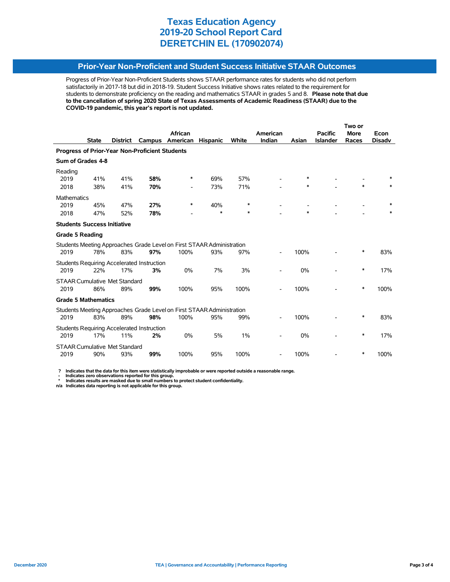### **Prior-Year Non-Proficient and Student Success Initiative STAAR Outcomes**

Progress of Prior-Year Non-Proficient Students shows STAAR performance rates for students who did not perform satisfactorily in 2017-18 but did in 2018-19. Student Success Initiative shows rates related to the requirement for students to demonstrate proficiency on the reading and mathematics STAAR in grades 5 and 8. **Please note that due to the cancellation of spring 2020 State of Texas Assessments of Academic Readiness (STAAR) due to the COVID-19 pandemic, this year's report is not updated.**

|                                                |              |                                             |                                                         |                                                                               |                 |              |          | Two or |                 |             |               |  |
|------------------------------------------------|--------------|---------------------------------------------|---------------------------------------------------------|-------------------------------------------------------------------------------|-----------------|--------------|----------|--------|-----------------|-------------|---------------|--|
|                                                |              |                                             |                                                         | African                                                                       |                 |              | American |        | <b>Pacific</b>  | <b>More</b> | Econ          |  |
|                                                | <b>State</b> | <b>District</b>                             | Campus                                                  | American                                                                      | <b>Hispanic</b> | <b>White</b> | Indian   | Asian  | <b>Islander</b> | Races       | <b>Disadv</b> |  |
| Progress of Prior-Year Non-Proficient Students |              |                                             |                                                         |                                                                               |                 |              |          |        |                 |             |               |  |
| Sum of Grades 4-8                              |              |                                             |                                                         |                                                                               |                 |              |          |        |                 |             |               |  |
| Reading                                        |              |                                             |                                                         | ∗                                                                             |                 |              |          | ∗      |                 |             |               |  |
| 2019<br>2018                                   | 41%<br>38%   | 41%<br>41%                                  | 58%<br>70%                                              |                                                                               | 69%<br>73%      | 57%<br>71%   |          | *      |                 |             |               |  |
| <b>Mathematics</b>                             |              |                                             |                                                         |                                                                               |                 |              |          |        |                 |             |               |  |
| 2019                                           | 45%          | 47%                                         | 27%                                                     | ∗                                                                             | 40%             | $\ast$       |          |        |                 |             |               |  |
| 2018                                           | 47%          | 52%                                         | 78%                                                     |                                                                               | $\ast$          | $\ast$       |          | $\ast$ |                 |             |               |  |
| <b>Students Success Initiative</b>             |              |                                             |                                                         |                                                                               |                 |              |          |        |                 |             |               |  |
| <b>Grade 5 Reading</b>                         |              |                                             |                                                         |                                                                               |                 |              |          |        |                 |             |               |  |
| 2019                                           | 78%          | 83%                                         | 97%                                                     | Students Meeting Approaches Grade Level on First STAAR Administration<br>100% | 93%             | 97%          |          | 100%   |                 | ∗           | 83%           |  |
| 2019                                           | 22%          | 17%                                         | <b>Students Requiring Accelerated Instruction</b><br>3% | 0%                                                                            | 7%              | 3%           |          | 0%     |                 | ∗           | 17%           |  |
| 2019                                           | 86%          | <b>STAAR Cumulative Met Standard</b><br>89% | 99%                                                     | 100%                                                                          | 95%             | 100%         |          | 100%   |                 | *           | 100%          |  |
| <b>Grade 5 Mathematics</b>                     |              |                                             |                                                         |                                                                               |                 |              |          |        |                 |             |               |  |
|                                                |              |                                             |                                                         | Students Meeting Approaches Grade Level on First STAAR Administration         |                 |              |          |        |                 |             |               |  |
| 2019                                           | 83%          | 89%                                         | 98%                                                     | 100%                                                                          | 95%             | 99%          |          | 100%   |                 | ∗           | 83%           |  |
| 2019                                           | 17%          | 11%                                         | <b>Students Requiring Accelerated Instruction</b><br>2% | 0%                                                                            | 5%              | 1%           |          | 0%     |                 | $\ast$      | 17%           |  |
|                                                |              | <b>STAAR Cumulative Met Standard</b>        |                                                         |                                                                               |                 |              |          |        |                 |             |               |  |
| 2019                                           | 90%          | 93%                                         | 99%                                                     | 100%                                                                          | 95%             | 100%         |          | 100%   |                 | ∗           | 100%          |  |

 **? Indicates that the data for this item were statistically improbable or were reported outside a reasonable range.**

 **- Indicates zero observations reported for this group. \* Indicates results are masked due to small numbers to protect student confidentiality.**

**n/a Indicates data reporting is not applicable for this group.**